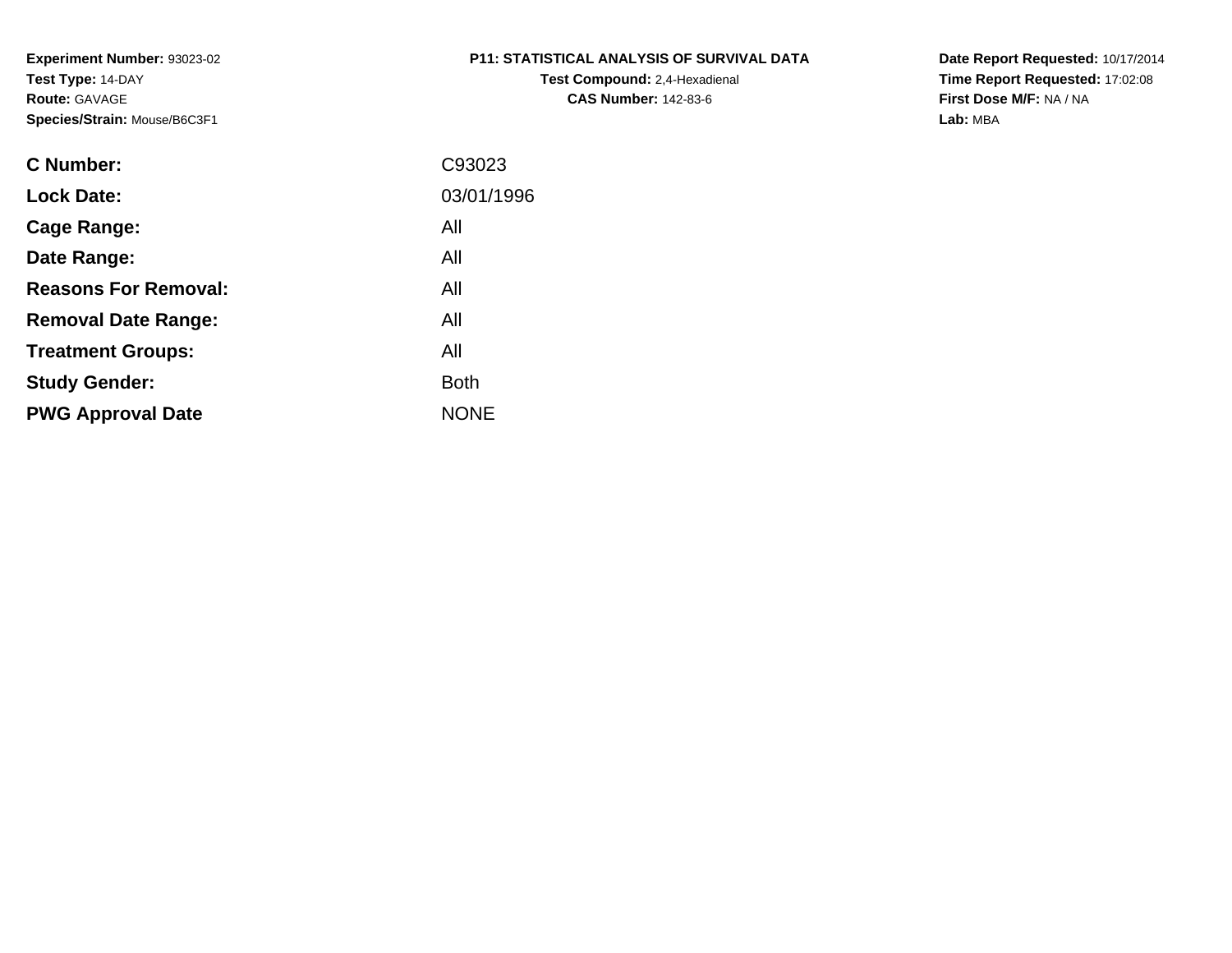# **P11: STATISTICAL ANALYSIS OF SURVIVAL DATA**

**Test Compound:** 2,4-Hexadienal **CAS Number:** 142-83-6

**Date Report Requested:** 10/17/2014 **Time Report Requested:** 17:02:08**First Dose M/F:** NA / NA**Lab:** MBA

| <b>C</b> Number:            | C93023      |
|-----------------------------|-------------|
| <b>Lock Date:</b>           | 03/01/1996  |
| Cage Range:                 | All         |
| Date Range:                 | All         |
| <b>Reasons For Removal:</b> | All         |
| <b>Removal Date Range:</b>  | All         |
| <b>Treatment Groups:</b>    | All         |
| <b>Study Gender:</b>        | <b>Both</b> |
| <b>PWG Approval Date</b>    | <b>NONE</b> |
|                             |             |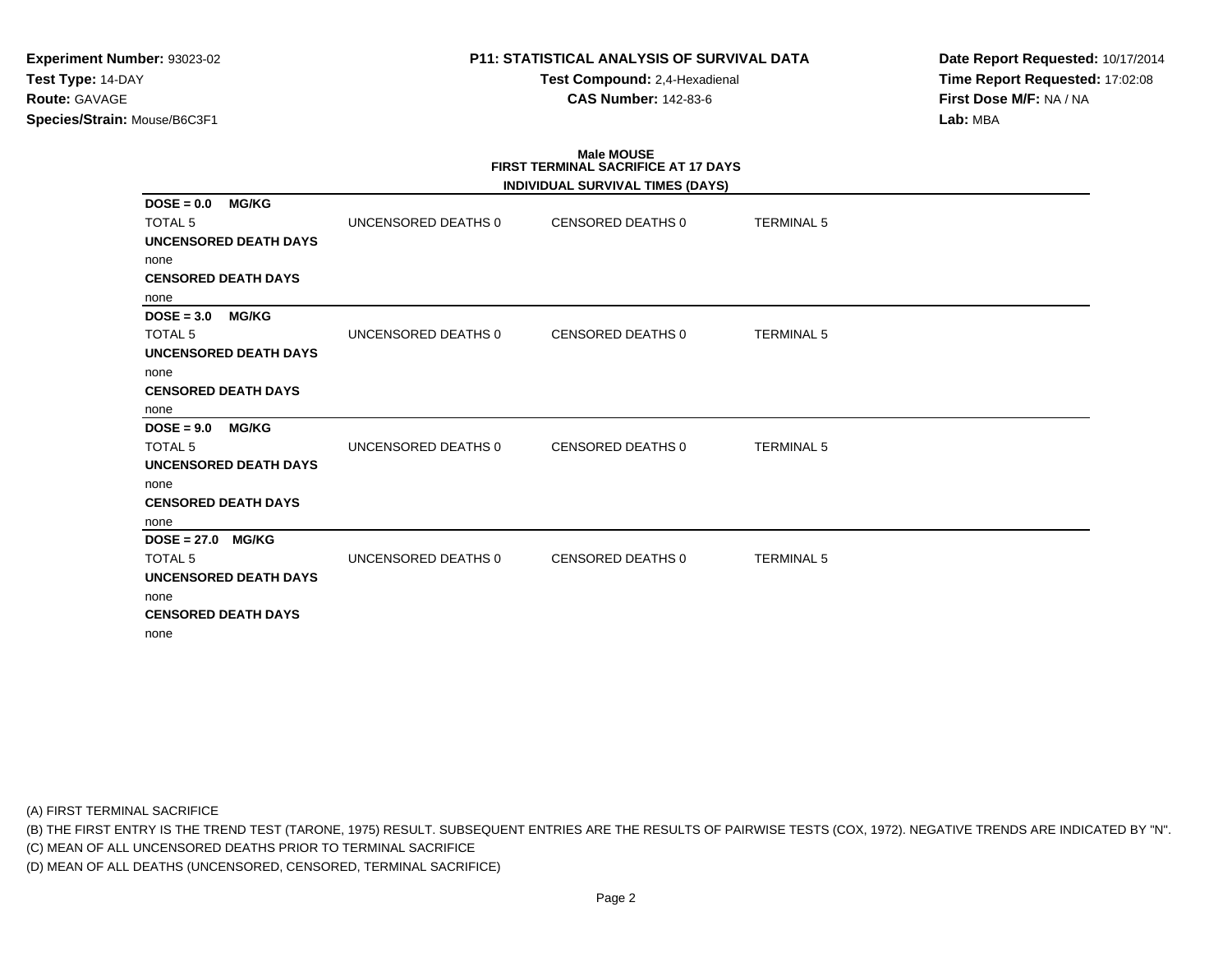# **P11: STATISTICAL ANALYSIS OF SURVIVAL DATA**

**Test Compound:** 2,4-Hexadienal **CAS Number:** 142-83-6

**Date Report Requested:** 10/17/2014**Time Report Requested:** 17:02:08**First Dose M/F:** NA / NA**Lab:** MBA

# **Male MOUSEFIRST TERMINAL SACRIFICE AT 17 DAYS**

|                               |                     | INDIVIDUAL SURVIVAL TIMES (DAYS) |                   |
|-------------------------------|---------------------|----------------------------------|-------------------|
| <b>MG/KG</b><br>$DOSE = 0.0$  |                     |                                  |                   |
| <b>TOTAL 5</b>                | UNCENSORED DEATHS 0 | CENSORED DEATHS 0                | <b>TERMINAL 5</b> |
| <b>UNCENSORED DEATH DAYS</b>  |                     |                                  |                   |
| none                          |                     |                                  |                   |
| <b>CENSORED DEATH DAYS</b>    |                     |                                  |                   |
| none                          |                     |                                  |                   |
| $DOSE = 3.0$<br><b>MG/KG</b>  |                     |                                  |                   |
| <b>TOTAL 5</b>                | UNCENSORED DEATHS 0 | <b>CENSORED DEATHS 0</b>         | <b>TERMINAL 5</b> |
| <b>UNCENSORED DEATH DAYS</b>  |                     |                                  |                   |
| none                          |                     |                                  |                   |
| <b>CENSORED DEATH DAYS</b>    |                     |                                  |                   |
| none                          |                     |                                  |                   |
| $DOSE = 9.0$<br><b>MG/KG</b>  |                     |                                  |                   |
| <b>TOTAL 5</b>                | UNCENSORED DEATHS 0 | <b>CENSORED DEATHS 0</b>         | <b>TERMINAL 5</b> |
| <b>UNCENSORED DEATH DAYS</b>  |                     |                                  |                   |
| none                          |                     |                                  |                   |
| <b>CENSORED DEATH DAYS</b>    |                     |                                  |                   |
| none                          |                     |                                  |                   |
| $DOSE = 27.0$<br><b>MG/KG</b> |                     |                                  |                   |
| TOTAL <sub>5</sub>            | UNCENSORED DEATHS 0 | <b>CENSORED DEATHS 0</b>         | <b>TERMINAL 5</b> |
| <b>UNCENSORED DEATH DAYS</b>  |                     |                                  |                   |
| none                          |                     |                                  |                   |
| <b>CENSORED DEATH DAYS</b>    |                     |                                  |                   |
| none                          |                     |                                  |                   |

(A) FIRST TERMINAL SACRIFICE

(B) THE FIRST ENTRY IS THE TREND TEST (TARONE, 1975) RESULT. SUBSEQUENT ENTRIES ARE THE RESULTS OF PAIRWISE TESTS (COX, 1972). NEGATIVE TRENDS ARE INDICATED BY "N".

(C) MEAN OF ALL UNCENSORED DEATHS PRIOR TO TERMINAL SACRIFICE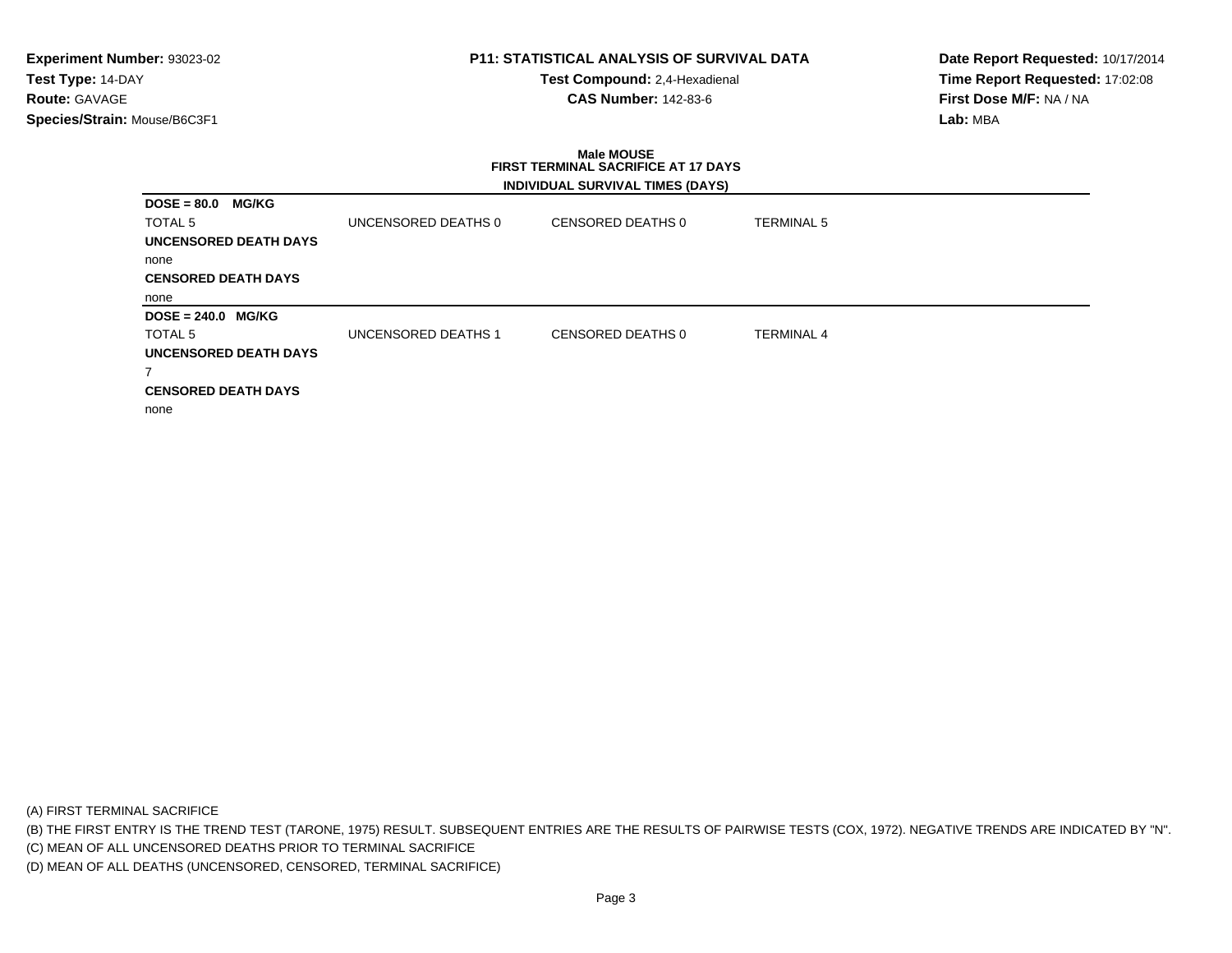# **P11: STATISTICAL ANALYSIS OF SURVIVAL DATA**

**Test Compound:** 2,4-Hexadienal **CAS Number:** 142-83-6

**Date Report Requested:** 10/17/2014**Time Report Requested:** 17:02:08**First Dose M/F:** NA / NA**Lab:** MBA

# **Male MOUSE FIRST TERMINAL SACRIFICE AT 17 DAYSINDIVIDUAL SURVIVAL TIMES (DAYS)**

| <b>MG/KG</b><br>$DOSE = 80.0$ |                            |                   |                   |  |
|-------------------------------|----------------------------|-------------------|-------------------|--|
| <b>TOTAL 5</b>                | UNCENSORED DEATHS 0        | CENSORED DEATHS 0 | TERMINAL 5        |  |
| <b>UNCENSORED DEATH DAYS</b>  |                            |                   |                   |  |
| none                          |                            |                   |                   |  |
| <b>CENSORED DEATH DAYS</b>    |                            |                   |                   |  |
| none                          |                            |                   |                   |  |
|                               |                            |                   |                   |  |
| $DOSE = 240.0$ MG/KG          |                            |                   |                   |  |
| <b>TOTAL 5</b>                | <b>UNCENSORED DEATHS 1</b> | CENSORED DEATHS 0 | <b>TERMINAL 4</b> |  |
| UNCENSORED DEATH DAYS         |                            |                   |                   |  |
| 7                             |                            |                   |                   |  |
| <b>CENSORED DEATH DAYS</b>    |                            |                   |                   |  |

(A) FIRST TERMINAL SACRIFICE

(B) THE FIRST ENTRY IS THE TREND TEST (TARONE, 1975) RESULT. SUBSEQUENT ENTRIES ARE THE RESULTS OF PAIRWISE TESTS (COX, 1972). NEGATIVE TRENDS ARE INDICATED BY "N".

(C) MEAN OF ALL UNCENSORED DEATHS PRIOR TO TERMINAL SACRIFICE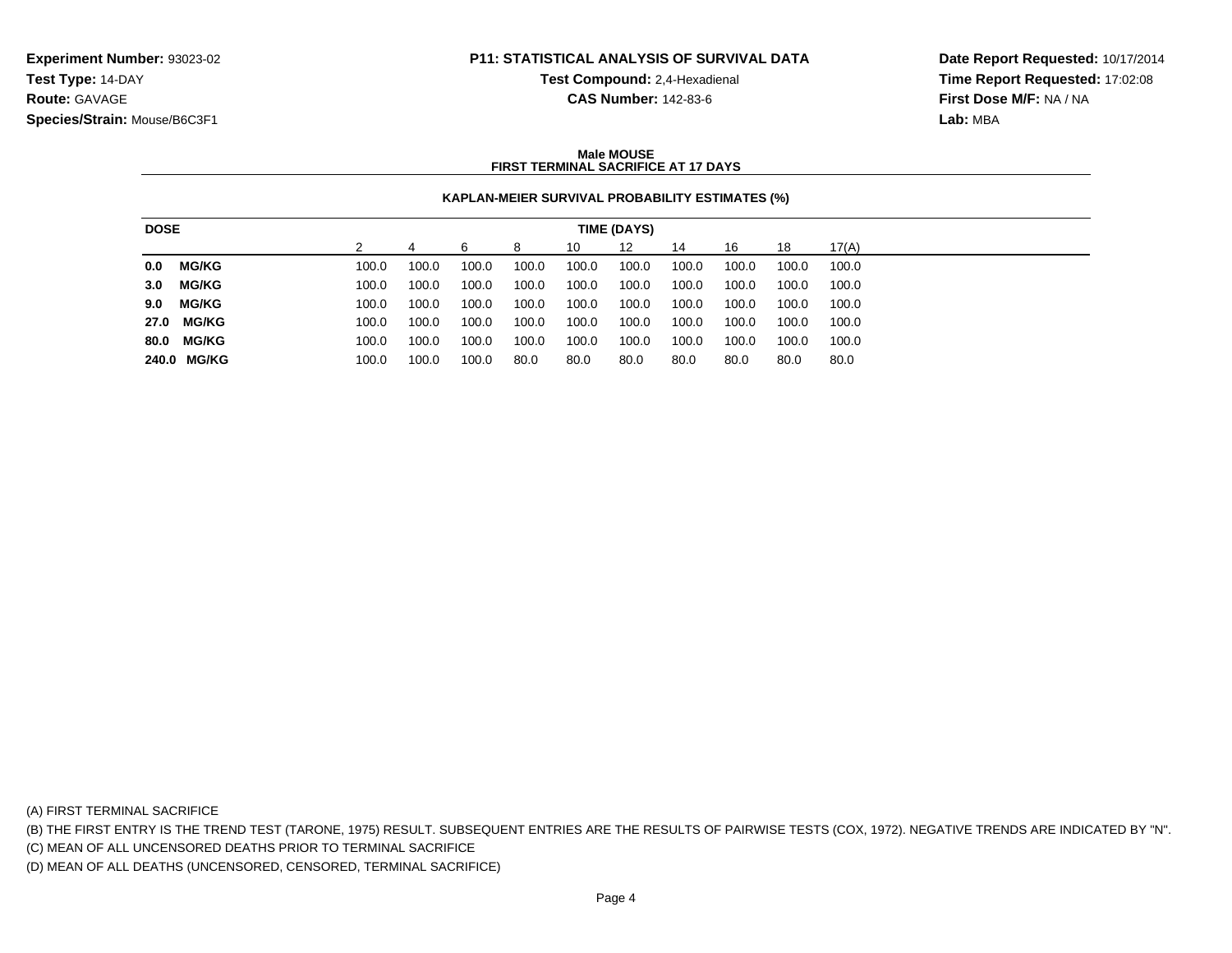# **P11: STATISTICAL ANALYSIS OF SURVIVAL DATA**

**Test Compound:** 2,4-Hexadienal

**CAS Number:** 142-83-6

**Date Report Requested:** 10/17/2014**Time Report Requested:** 17:02:08**First Dose M/F:** NA / NA**Lab:** MBA

#### **Male MOUSEFIRST TERMINAL SACRIFICE AT 17 DAYS**

# **KAPLAN-MEIER SURVIVAL PROBABILITY ESTIMATES (%)**

|      | <b>DOSE</b><br>TIME (DAYS) |  |       |       |       |       |       |       |       |       |       |       |
|------|----------------------------|--|-------|-------|-------|-------|-------|-------|-------|-------|-------|-------|
|      |                            |  |       |       |       | 8     | 10    | 12    | 14    | 16    | 18    | 17(A) |
| 0.0  | <b>MG/KG</b>               |  | 100.0 | 100.0 | 100.0 | 100.0 | 100.0 | 100.0 | 100.0 | 100.0 | 100.0 | 100.0 |
| 3.0  | MG/KG                      |  | 100.0 | 100.0 | 100.0 | 100.0 | 100.0 | 100.0 | 100.0 | 100.0 | 100.0 | 100.0 |
| 9.0  | <b>MG/KG</b>               |  | 100.0 | 100.0 | 100.0 | 100.0 | 100.0 | 100.0 | 100.0 | 100.0 | 100.0 | 100.0 |
|      | 27.0 MG/KG                 |  | 100.0 | 100.0 | 100.0 | 100.0 | 100.0 | 100.0 | 100.0 | 100.0 | 100.0 | 100.0 |
| 80.0 | <b>MG/KG</b>               |  | 100.0 | 100.0 | 100.0 | 100.0 | 100.0 | 100.0 | 100.0 | 100.0 | 100.0 | 100.0 |
|      | 240.0 MG/KG                |  | 100.0 | 100.0 | 100.0 | 80.0  | 80.0  | 80.0  | 80.0  | 80.0  | 80.0  | 80.0  |

(A) FIRST TERMINAL SACRIFICE

(B) THE FIRST ENTRY IS THE TREND TEST (TARONE, 1975) RESULT. SUBSEQUENT ENTRIES ARE THE RESULTS OF PAIRWISE TESTS (COX, 1972). NEGATIVE TRENDS ARE INDICATED BY "N".

(C) MEAN OF ALL UNCENSORED DEATHS PRIOR TO TERMINAL SACRIFICE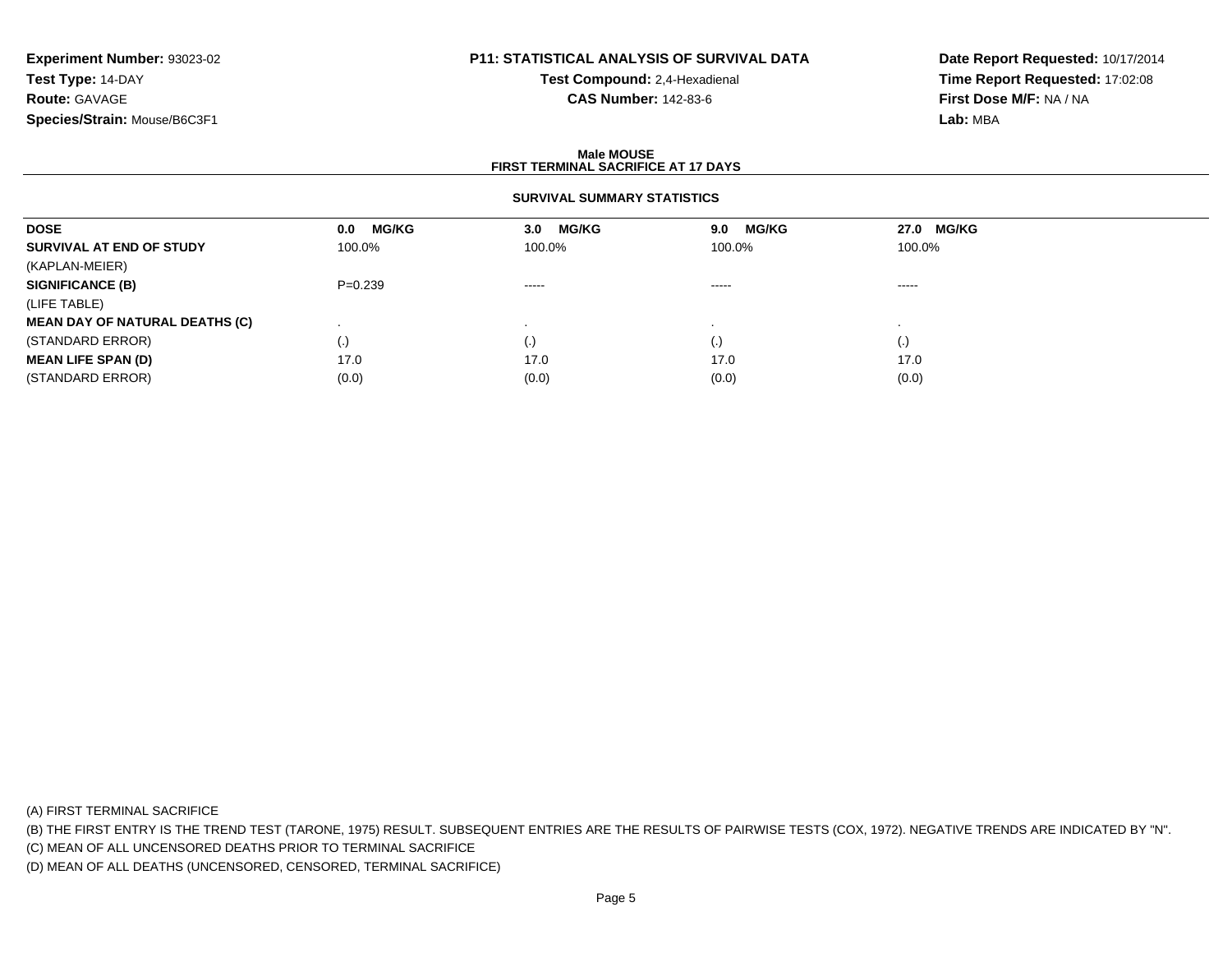# **P11: STATISTICAL ANALYSIS OF SURVIVAL DATA**

**Test Compound:** 2,4-Hexadienal **CAS Number:** 142-83-6

**Date Report Requested:** 10/17/2014**Time Report Requested:** 17:02:08**First Dose M/F:** NA / NA**Lab:** MBA

#### **Male MOUSEFIRST TERMINAL SACRIFICE AT 17 DAYS**

# **SURVIVAL SUMMARY STATISTICS**

| <b>DOSE</b>                           | <b>MG/KG</b><br>0.0 | <b>MG/KG</b><br>3.0    | <b>MG/KG</b><br>9.0 | 27.0 MG/KG |  |
|---------------------------------------|---------------------|------------------------|---------------------|------------|--|
| SURVIVAL AT END OF STUDY              | 100.0%              | 100.0%                 | 100.0%              | 100.0%     |  |
| (KAPLAN-MEIER)                        |                     |                        |                     |            |  |
| <b>SIGNIFICANCE (B)</b>               | $P=0.239$           | $\cdots \cdots \cdots$ | $\cdots$            | -----      |  |
| (LIFE TABLE)                          |                     |                        |                     |            |  |
| <b>MEAN DAY OF NATURAL DEATHS (C)</b> |                     |                        |                     |            |  |
| (STANDARD ERROR)                      | $\left( . \right)$  | (.)                    |                     | (.)        |  |
| <b>MEAN LIFE SPAN (D)</b>             | 17.0                | 17.0                   | 17.0                | 17.0       |  |
| (STANDARD ERROR)                      | (0.0)               | (0.0)                  | (0.0)               | (0.0)      |  |

(A) FIRST TERMINAL SACRIFICE

(B) THE FIRST ENTRY IS THE TREND TEST (TARONE, 1975) RESULT. SUBSEQUENT ENTRIES ARE THE RESULTS OF PAIRWISE TESTS (COX, 1972). NEGATIVE TRENDS ARE INDICATED BY "N".

(C) MEAN OF ALL UNCENSORED DEATHS PRIOR TO TERMINAL SACRIFICE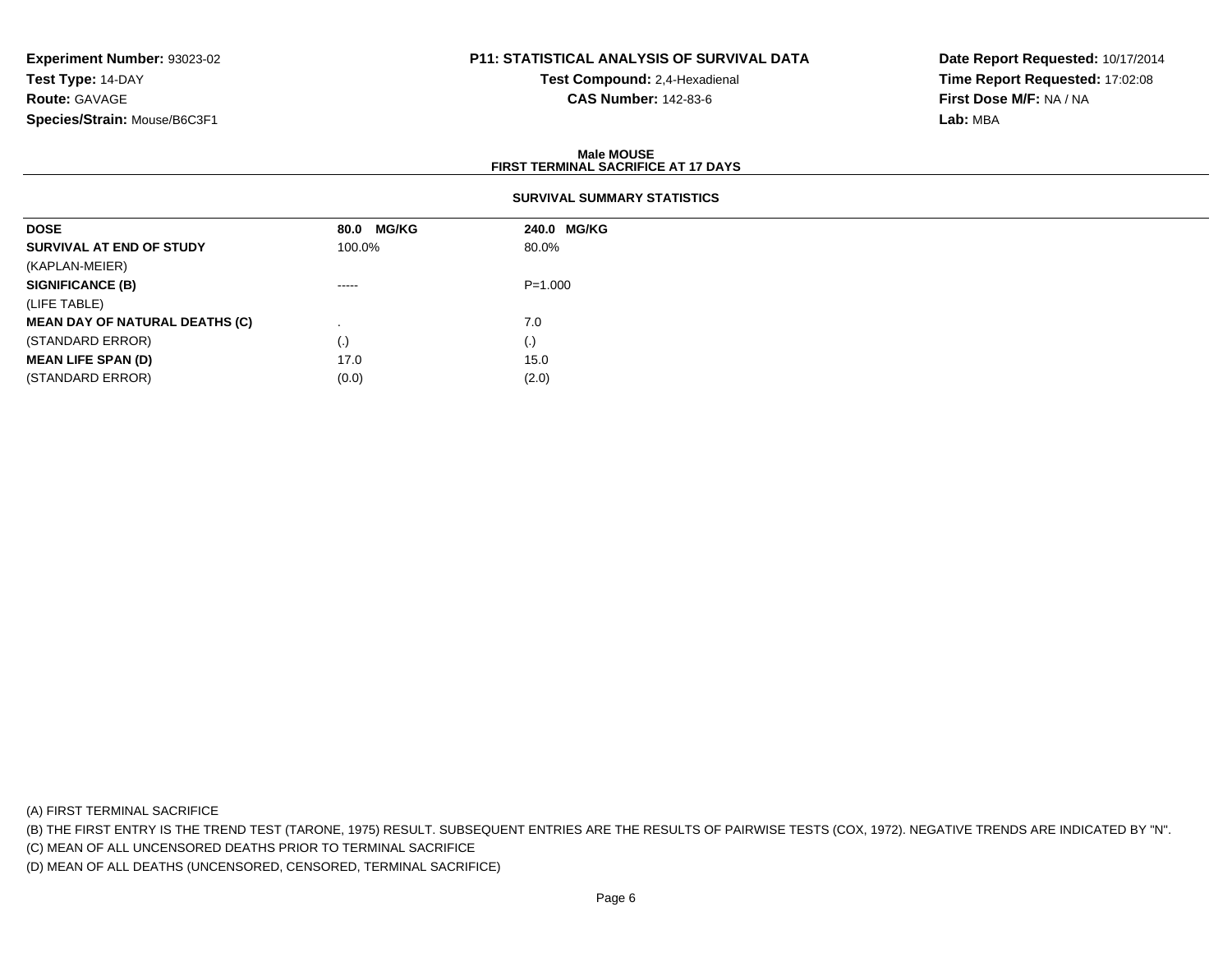# **P11: STATISTICAL ANALYSIS OF SURVIVAL DATA**

**Test Compound:** 2,4-Hexadienal **CAS Number:** 142-83-6

**Date Report Requested:** 10/17/2014**Time Report Requested:** 17:02:08**First Dose M/F:** NA / NA**Lab:** MBA

#### **Male MOUSEFIRST TERMINAL SACRIFICE AT 17 DAYS**

| <b>DOSE</b>                           | 80.0 MG/KG | 240.0 MG/KG |
|---------------------------------------|------------|-------------|
| SURVIVAL AT END OF STUDY              | 100.0%     | 80.0%       |
| (KAPLAN-MEIER)                        |            |             |
| <b>SIGNIFICANCE (B)</b>               | -----      | $P = 1.000$ |
| (LIFE TABLE)                          |            |             |
| <b>MEAN DAY OF NATURAL DEATHS (C)</b> |            | 7.0         |
| (STANDARD ERROR)                      | $\cdot$    | (.)         |
| <b>MEAN LIFE SPAN (D)</b>             | 17.0       | 15.0        |
| (STANDARD ERROR)                      | (0.0)      | (2.0)       |

(A) FIRST TERMINAL SACRIFICE

(B) THE FIRST ENTRY IS THE TREND TEST (TARONE, 1975) RESULT. SUBSEQUENT ENTRIES ARE THE RESULTS OF PAIRWISE TESTS (COX, 1972). NEGATIVE TRENDS ARE INDICATED BY "N".

(C) MEAN OF ALL UNCENSORED DEATHS PRIOR TO TERMINAL SACRIFICE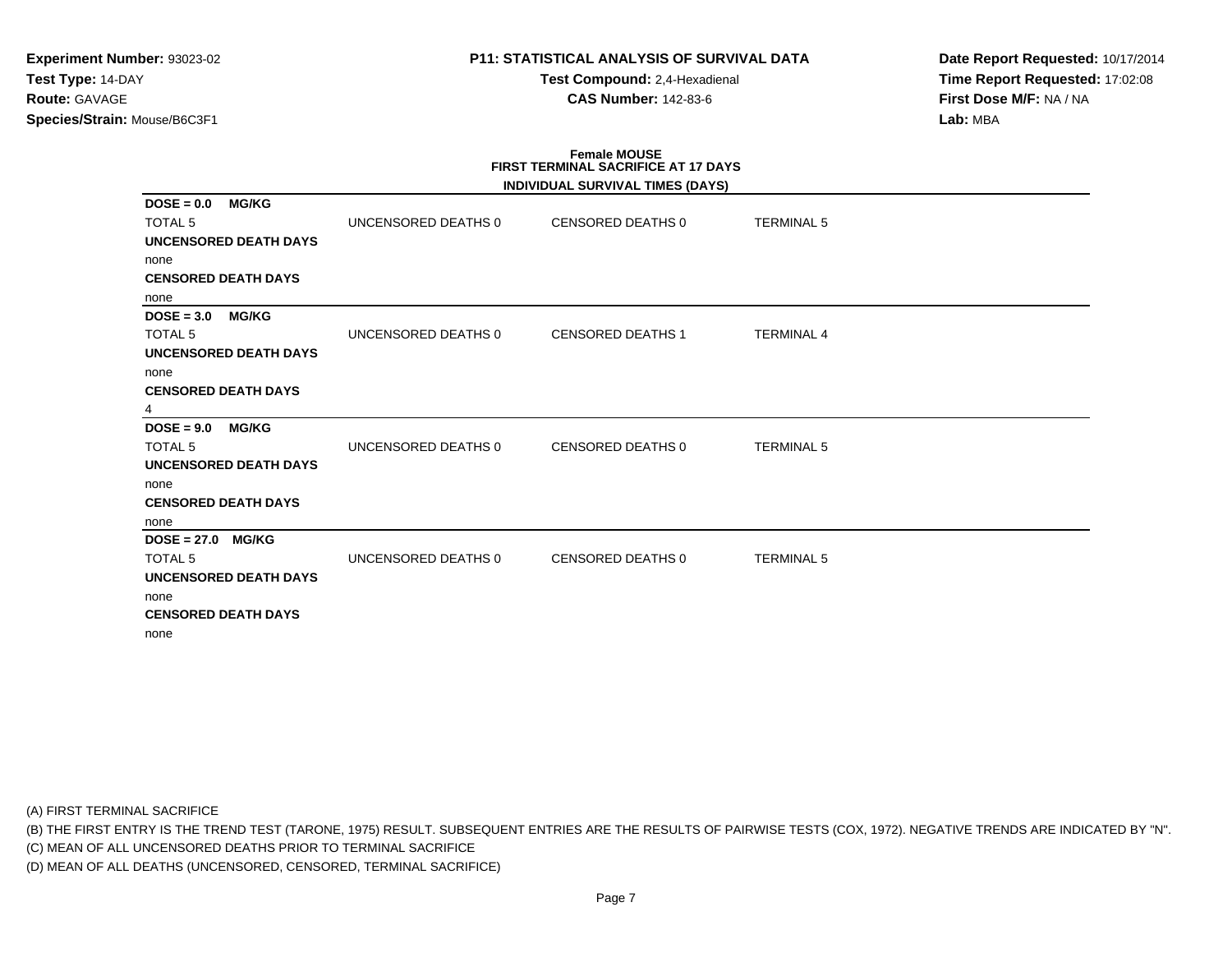# **P11: STATISTICAL ANALYSIS OF SURVIVAL DATA**

**Test Compound:** 2,4-Hexadienal **CAS Number:** 142-83-6

**Date Report Requested:** 10/17/2014**Time Report Requested:** 17:02:08**First Dose M/F:** NA / NA**Lab:** MBA

#### **Female MOUSE FIRST TERMINAL SACRIFICE AT 17 DAYSINDIVIDUAL SURVIVAL TIMES (DAYS)**

|                                                |                     | INDIVIDUAL SURVIVAL TIMES (DAYS) |                   |  |
|------------------------------------------------|---------------------|----------------------------------|-------------------|--|
| <b>MG/KG</b><br>$DOSE = 0.0$<br><b>TOTAL 5</b> | UNCENSORED DEATHS 0 | CENSORED DEATHS 0                | <b>TERMINAL 5</b> |  |
| UNCENSORED DEATH DAYS                          |                     |                                  |                   |  |
| none                                           |                     |                                  |                   |  |
| <b>CENSORED DEATH DAYS</b>                     |                     |                                  |                   |  |
| none                                           |                     |                                  |                   |  |
| <b>MG/KG</b><br>$DOSE = 3.0$                   |                     |                                  |                   |  |
| <b>TOTAL 5</b>                                 | UNCENSORED DEATHS 0 | <b>CENSORED DEATHS 1</b>         | <b>TERMINAL 4</b> |  |
| <b>UNCENSORED DEATH DAYS</b>                   |                     |                                  |                   |  |
| none                                           |                     |                                  |                   |  |
| <b>CENSORED DEATH DAYS</b>                     |                     |                                  |                   |  |
| 4                                              |                     |                                  |                   |  |
| <b>MG/KG</b><br>$DOSE = 9.0$                   |                     |                                  |                   |  |
| <b>TOTAL 5</b>                                 | UNCENSORED DEATHS 0 | CENSORED DEATHS 0                | <b>TERMINAL 5</b> |  |
| <b>UNCENSORED DEATH DAYS</b>                   |                     |                                  |                   |  |
| none                                           |                     |                                  |                   |  |
| <b>CENSORED DEATH DAYS</b>                     |                     |                                  |                   |  |
| none                                           |                     |                                  |                   |  |
| $DOSE = 27.0$ MG/KG                            |                     |                                  |                   |  |
| <b>TOTAL 5</b>                                 | UNCENSORED DEATHS 0 | CENSORED DEATHS 0                | <b>TERMINAL 5</b> |  |
| <b>UNCENSORED DEATH DAYS</b>                   |                     |                                  |                   |  |
| none                                           |                     |                                  |                   |  |
| <b>CENSORED DEATH DAYS</b>                     |                     |                                  |                   |  |
| none                                           |                     |                                  |                   |  |

(A) FIRST TERMINAL SACRIFICE

(B) THE FIRST ENTRY IS THE TREND TEST (TARONE, 1975) RESULT. SUBSEQUENT ENTRIES ARE THE RESULTS OF PAIRWISE TESTS (COX, 1972). NEGATIVE TRENDS ARE INDICATED BY "N".

(C) MEAN OF ALL UNCENSORED DEATHS PRIOR TO TERMINAL SACRIFICE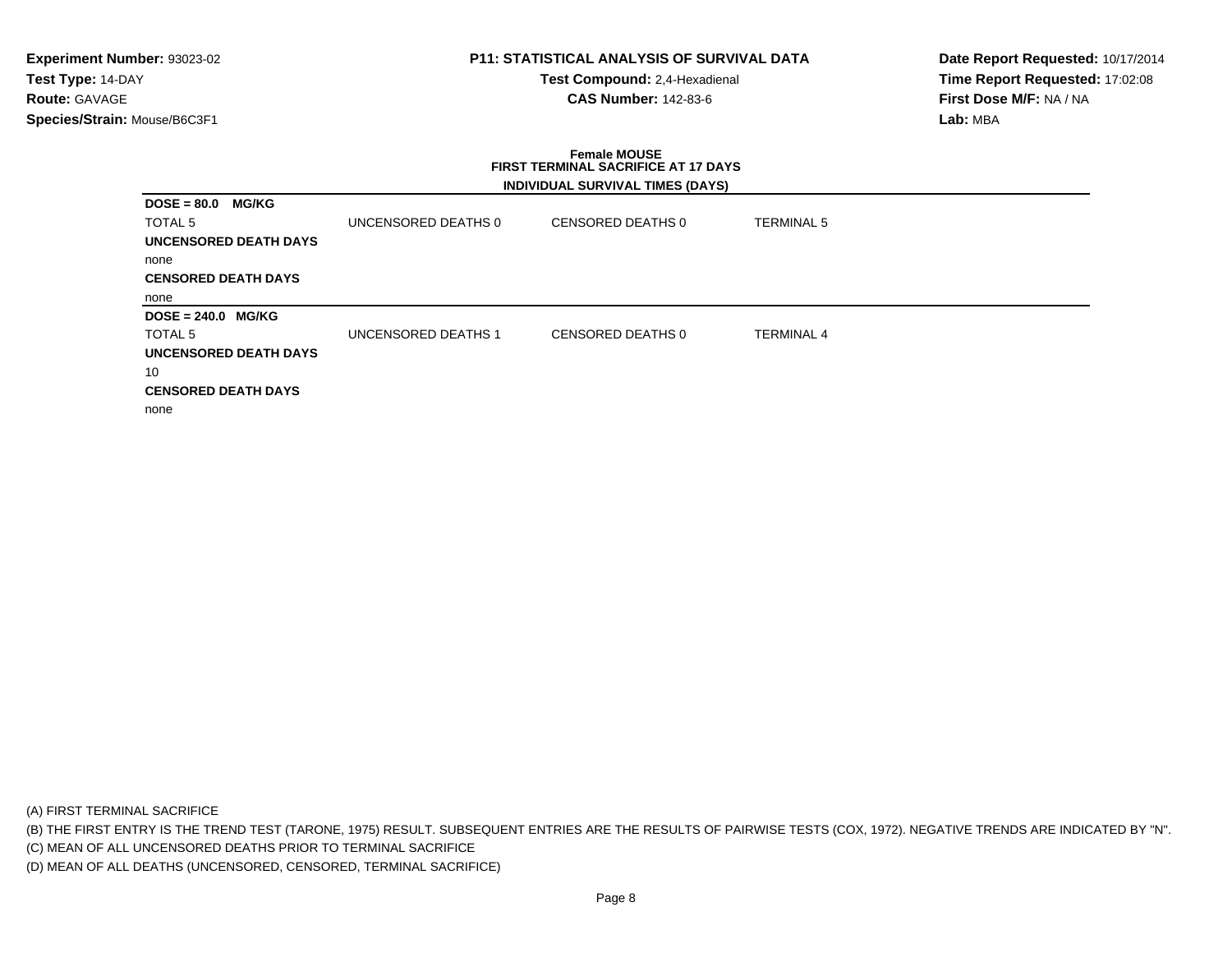# **P11: STATISTICAL ANALYSIS OF SURVIVAL DATA**

**Test Compound:** 2,4-Hexadienal **CAS Number:** 142-83-6

**Date Report Requested:** 10/17/2014**Time Report Requested:** 17:02:08**First Dose M/F:** NA / NA**Lab:** MBA

# **Female MOUSE FIRST TERMINAL SACRIFICE AT 17 DAYSINDIVIDUAL SURVIVAL TIMES (DAYS)**

| <b>MG/KG</b><br>$DOSE = 80.0$ |                     |                   |                   |
|-------------------------------|---------------------|-------------------|-------------------|
| TOTAL 5                       | UNCENSORED DEATHS 0 | CENSORED DEATHS 0 | <b>TERMINAL 5</b> |
| UNCENSORED DEATH DAYS         |                     |                   |                   |
| none                          |                     |                   |                   |
| <b>CENSORED DEATH DAYS</b>    |                     |                   |                   |
| none                          |                     |                   |                   |
|                               |                     |                   |                   |
| $DOSE = 240.0$ MG/KG          |                     |                   |                   |
| TOTAL <sub>5</sub>            | UNCENSORED DEATHS 1 | CENSORED DEATHS 0 | <b>TERMINAL 4</b> |
| <b>UNCENSORED DEATH DAYS</b>  |                     |                   |                   |
| 10                            |                     |                   |                   |
| <b>CENSORED DEATH DAYS</b>    |                     |                   |                   |

(A) FIRST TERMINAL SACRIFICE

(B) THE FIRST ENTRY IS THE TREND TEST (TARONE, 1975) RESULT. SUBSEQUENT ENTRIES ARE THE RESULTS OF PAIRWISE TESTS (COX, 1972). NEGATIVE TRENDS ARE INDICATED BY "N".

(C) MEAN OF ALL UNCENSORED DEATHS PRIOR TO TERMINAL SACRIFICE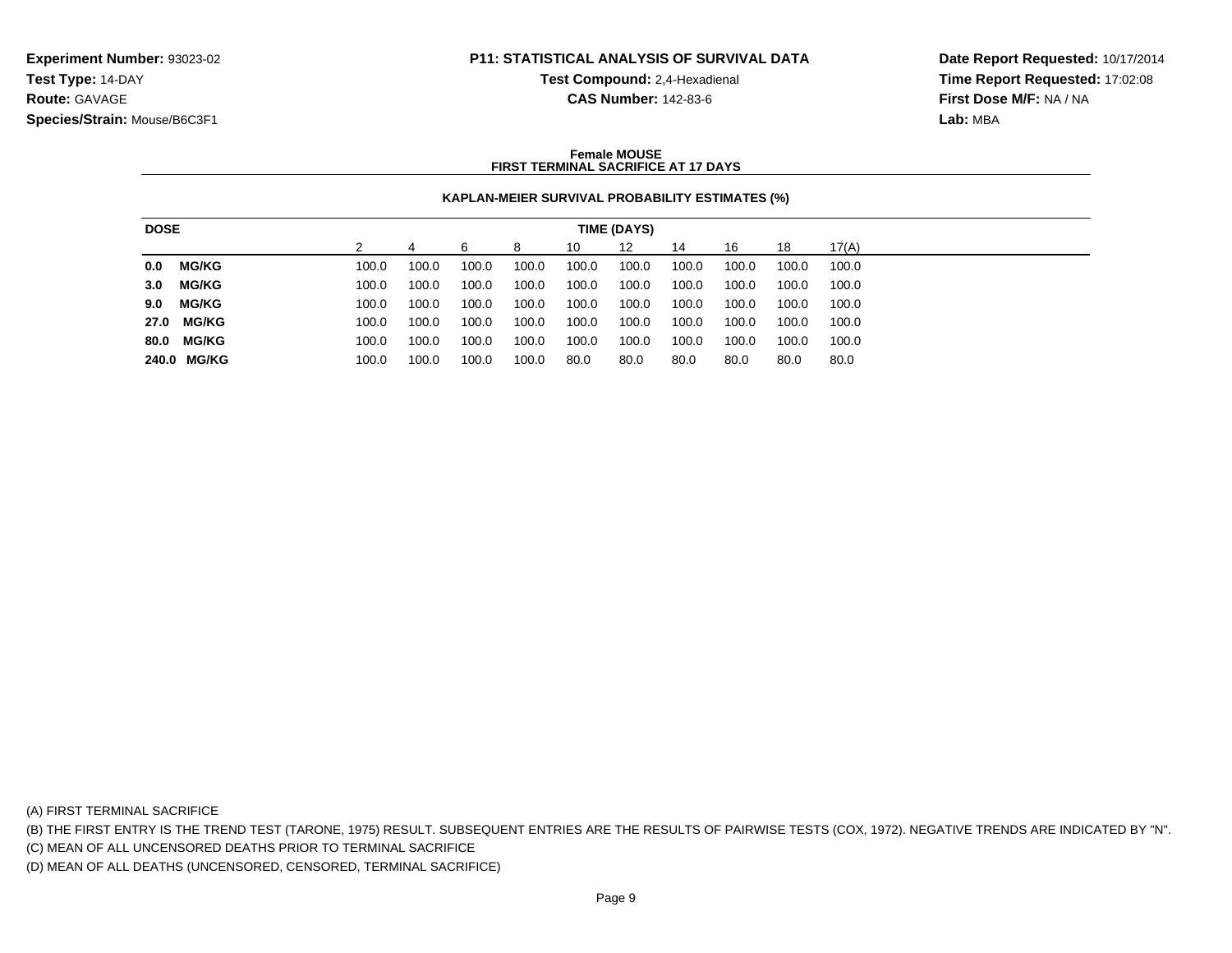# **P11: STATISTICAL ANALYSIS OF SURVIVAL DATA**

**Test Compound:** 2,4-Hexadienal

**CAS Number:** 142-83-6

**Date Report Requested:** 10/17/2014**Time Report Requested:** 17:02:08**First Dose M/F:** NA / NA**Lab:** MBA

### **Female MOUSEFIRST TERMINAL SACRIFICE AT 17 DAYS**

# **KAPLAN-MEIER SURVIVAL PROBABILITY ESTIMATES (%)**

| <b>DOSE</b> |              | TIME (DAYS) |       |       |       |       |       |       |       |       |       |       |
|-------------|--------------|-------------|-------|-------|-------|-------|-------|-------|-------|-------|-------|-------|
|             |              |             |       |       |       | 8     | 10    | 12    | 14    | 16    | 18    | 17(A) |
| 0.0         | <b>MG/KG</b> |             | 100.0 | 100.0 | 100.0 | 100.0 | 100.0 | 100.0 | 100.0 | 100.0 | 100.0 | 100.0 |
| 3.0         | MG/KG        |             | 100.0 | 100.0 | 100.0 | 100.0 | 100.0 | 100.0 | 100.0 | 100.0 | 100.0 | 100.0 |
| 9.0         | <b>MG/KG</b> |             | 100.0 | 100.0 | 100.0 | 100.0 | 100.0 | 100.0 | 100.0 | 100.0 | 100.0 | 100.0 |
|             | 27.0 MG/KG   |             | 100.0 | 100.0 | 100.0 | 100.0 | 100.0 | 100.0 | 100.0 | 100.0 | 100.0 | 100.0 |
| 80.0        | <b>MG/KG</b> |             | 100.0 | 100.0 | 100.0 | 100.0 | 100.0 | 100.0 | 100.0 | 100.0 | 100.0 | 100.0 |
|             | 240.0 MG/KG  |             | 100.0 | 100.0 | 100.0 | 100.0 | 80.0  | 80.0  | 80.0  | 80.0  | 80.0  | 80.0  |

(A) FIRST TERMINAL SACRIFICE

(B) THE FIRST ENTRY IS THE TREND TEST (TARONE, 1975) RESULT. SUBSEQUENT ENTRIES ARE THE RESULTS OF PAIRWISE TESTS (COX, 1972). NEGATIVE TRENDS ARE INDICATED BY "N".

(C) MEAN OF ALL UNCENSORED DEATHS PRIOR TO TERMINAL SACRIFICE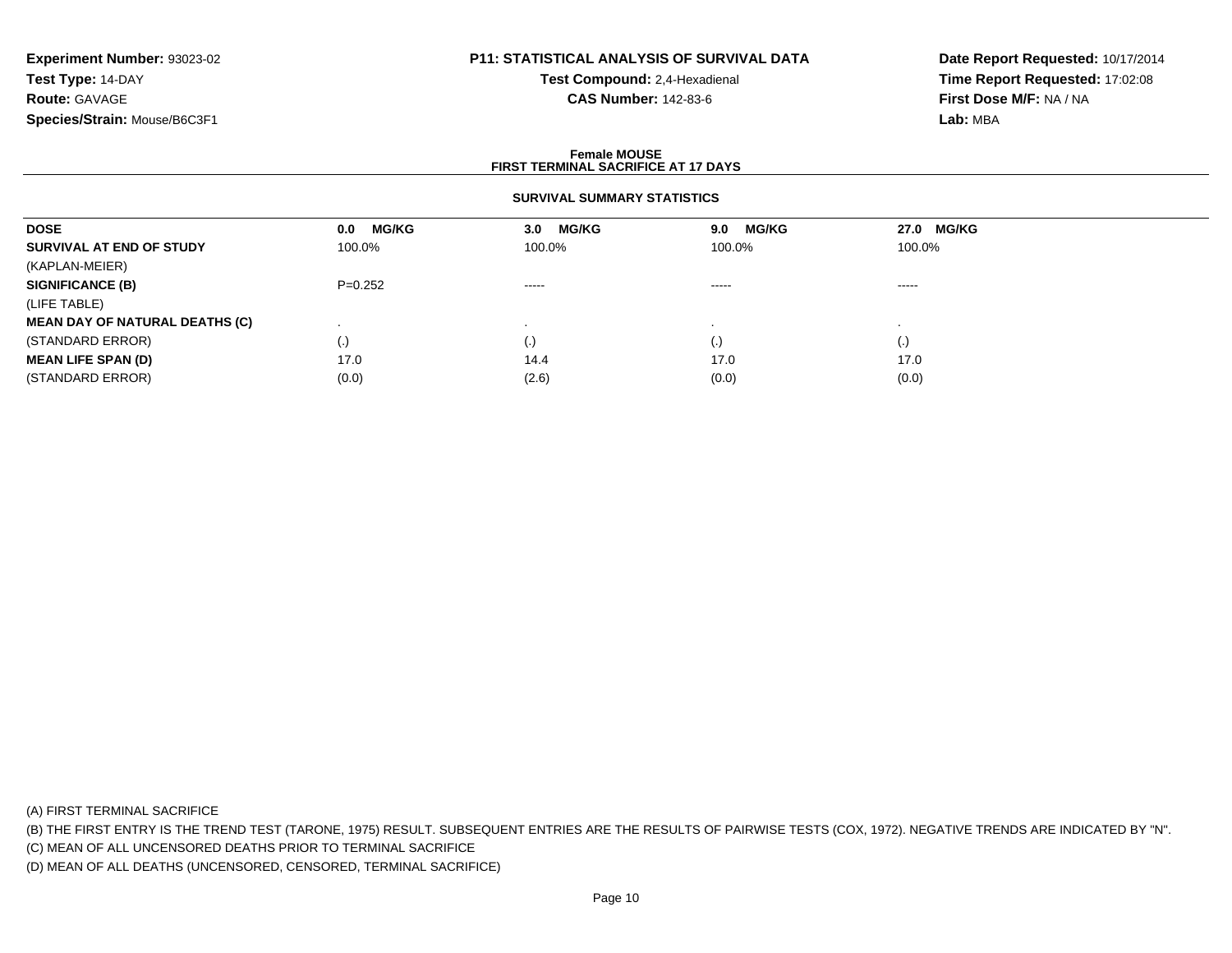# **P11: STATISTICAL ANALYSIS OF SURVIVAL DATA**

**Test Compound:** 2,4-Hexadienal **CAS Number:** 142-83-6

**Date Report Requested:** 10/17/2014**Time Report Requested:** 17:02:08**First Dose M/F:** NA / NA**Lab:** MBA

#### **Female MOUSEFIRST TERMINAL SACRIFICE AT 17 DAYS**

# **SURVIVAL SUMMARY STATISTICS**

| <b>DOSE</b>                           | <b>MG/KG</b><br>0.0 | <b>MG/KG</b><br>3.0    | <b>MG/KG</b><br>9.0 | 27.0 MG/KG |  |
|---------------------------------------|---------------------|------------------------|---------------------|------------|--|
| SURVIVAL AT END OF STUDY              | 100.0%              | 100.0%                 | 100.0%              | 100.0%     |  |
| (KAPLAN-MEIER)                        |                     |                        |                     |            |  |
| <b>SIGNIFICANCE (B)</b>               | $P=0.252$           | $\cdots \cdots \cdots$ | $\cdots$            | -----      |  |
| (LIFE TABLE)                          |                     |                        |                     |            |  |
| <b>MEAN DAY OF NATURAL DEATHS (C)</b> |                     |                        |                     |            |  |
| (STANDARD ERROR)                      | $\left( . \right)$  | (.)                    | $\cdot$             | (.)        |  |
| <b>MEAN LIFE SPAN (D)</b>             | 17.0                | 14.4                   | 17.0                | 17.0       |  |
| (STANDARD ERROR)                      | (0.0)               | (2.6)                  | (0.0)               | (0.0)      |  |

(A) FIRST TERMINAL SACRIFICE

(B) THE FIRST ENTRY IS THE TREND TEST (TARONE, 1975) RESULT. SUBSEQUENT ENTRIES ARE THE RESULTS OF PAIRWISE TESTS (COX, 1972). NEGATIVE TRENDS ARE INDICATED BY "N".

(C) MEAN OF ALL UNCENSORED DEATHS PRIOR TO TERMINAL SACRIFICE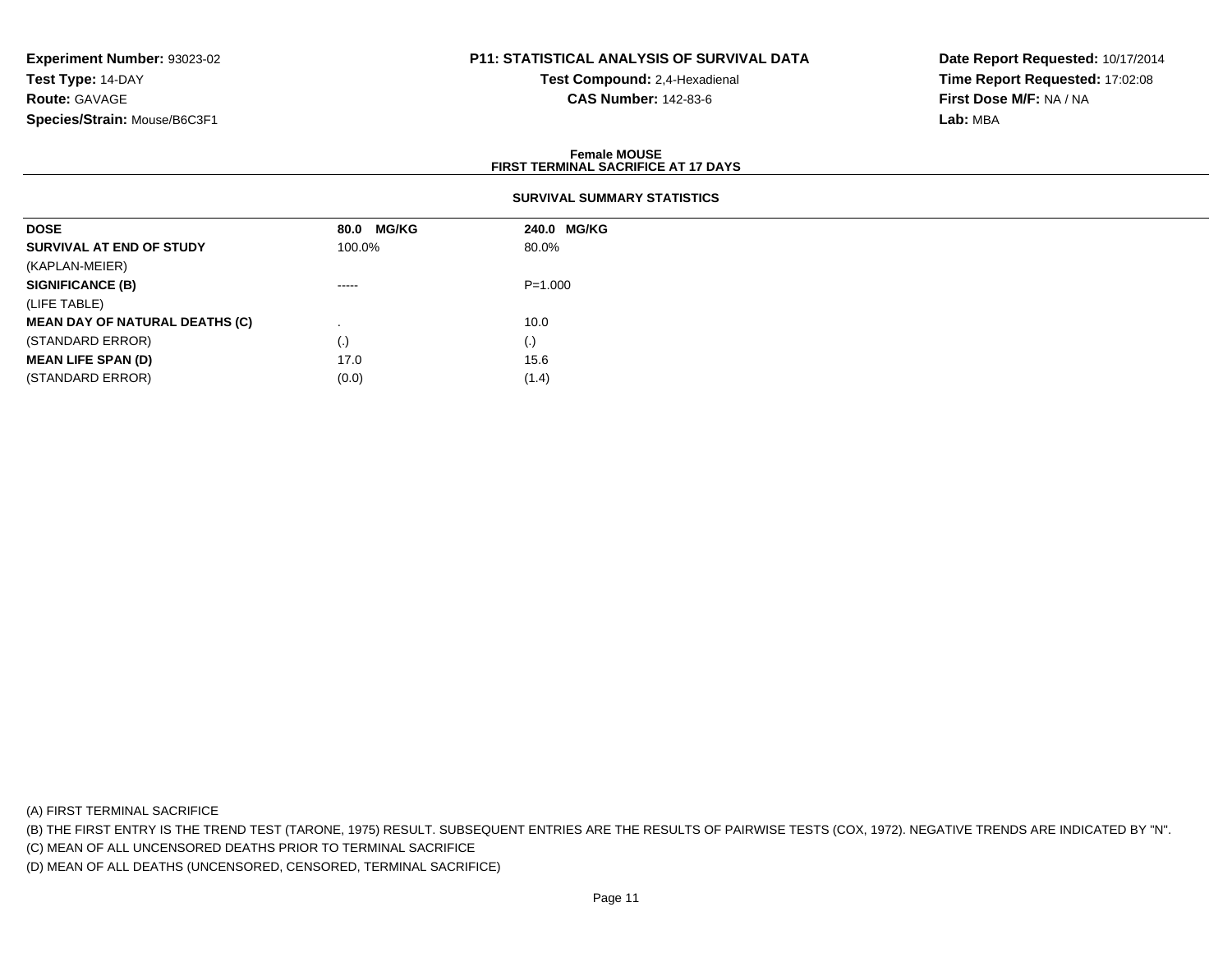# **P11: STATISTICAL ANALYSIS OF SURVIVAL DATA**

**Test Compound:** 2,4-Hexadienal **CAS Number:** 142-83-6

**Date Report Requested:** 10/17/2014**Time Report Requested:** 17:02:08**First Dose M/F:** NA / NA**Lab:** MBA

#### **Female MOUSEFIRST TERMINAL SACRIFICE AT 17 DAYS**

# **SURVIVAL SUMMARY STATISTICS**

| <b>DOSE</b>                           | 80.0 MG/KG | 240.0 MG/KG |
|---------------------------------------|------------|-------------|
| SURVIVAL AT END OF STUDY              | 100.0%     | 80.0%       |
| (KAPLAN-MEIER)                        |            |             |
| <b>SIGNIFICANCE (B)</b>               | $\cdots$   | $P = 1.000$ |
| (LIFE TABLE)                          |            |             |
| <b>MEAN DAY OF NATURAL DEATHS (C)</b> |            | 10.0        |
| (STANDARD ERROR)                      | $\cdot$    | (.)         |
| <b>MEAN LIFE SPAN (D)</b>             | 17.0       | 15.6        |
| (STANDARD ERROR)                      | (0.0)      | (1.4)       |

(A) FIRST TERMINAL SACRIFICE

(B) THE FIRST ENTRY IS THE TREND TEST (TARONE, 1975) RESULT. SUBSEQUENT ENTRIES ARE THE RESULTS OF PAIRWISE TESTS (COX, 1972). NEGATIVE TRENDS ARE INDICATED BY "N".

(C) MEAN OF ALL UNCENSORED DEATHS PRIOR TO TERMINAL SACRIFICE